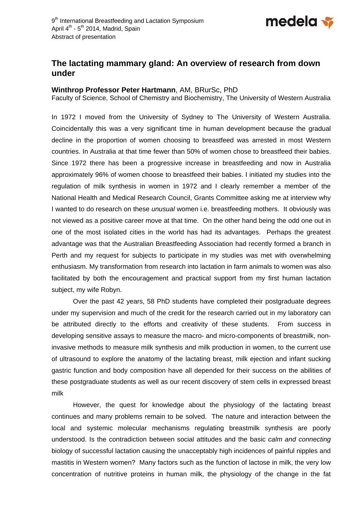

## **The lactating mammary gland: An overview of research from down under**

## **Winthrop Professor Peter Hartmann**, AM, BRurSc, PhD

Faculty of Science, School of Chemistry and Biochemistry, The University of Western Australia

In 1972 I moved from the University of Sydney to The University of Western Australia. Coincidentally this was a very significant time in human development because the gradual decline in the proportion of women choosing to breastfeed was arrested in most Western countries. In Australia at that time fewer than 50% of women chose to breastfeed their babies. Since 1972 there has been a progressive increase in breastfeeding and now in Australia approximately 96% of women choose to breastfeed their babies. I initiated my studies into the regulation of milk synthesis in women in 1972 and I clearly remember a member of the National Health and Medical Research Council, Grants Committee asking me at interview why I wanted to do research on these *unusual* women i.e. breastfeeding mothers. It obviously was not viewed as a positive career move at that time. On the other hand being the odd one out in one of the most isolated cities in the world has had its advantages. Perhaps the greatest advantage was that the Australian Breastfeeding Association had recently formed a branch in Perth and my request for subjects to participate in my studies was met with overwhelming enthusiasm. My transformation from research into lactation in farm animals to women was also facilitated by both the encouragement and practical support from my first human lactation subject, my wife Robyn.

 Over the past 42 years, 58 PhD students have completed their postgraduate degrees under my supervision and much of the credit for the research carried out in my laboratory can be attributed directly to the efforts and creativity of these students. From success in developing sensitive assays to measure the macro- and micro-components of breastmilk, noninvasive methods to measure milk synthesis and milk production in women, to the current use of ultrasound to explore the anatomy of the lactating breast, milk ejection and infant sucking gastric function and body composition have all depended for their success on the abilities of these postgraduate students as well as our recent discovery of stem cells in expressed breast milk

 However, the quest for knowledge about the physiology of the lactating breast continues and many problems remain to be solved. The nature and interaction between the local and systemic molecular mechanisms regulating breastmilk synthesis are poorly understood. Is the contradiction between social attitudes and the basic *calm and connecting* biology of successful lactation causing the unacceptably high incidences of painful nipples and mastitis in Western women? Many factors such as the function of lactose in milk, the very low concentration of nutritive proteins in human milk, the physiology of the change in the fat